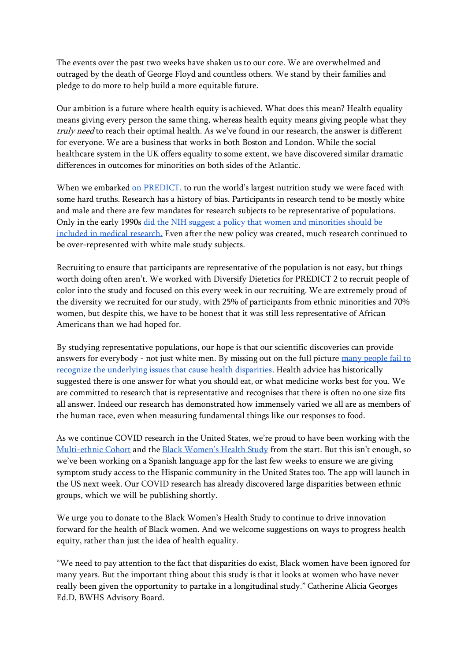The events over the past two weeks have shaken us to our core. We are overwhelmed and outraged by the death of George Floyd and countless others. We stand by their families and pledge to do more to help build a more equitable future.

Our ambition is a future where health equity is achieved. What does this mean? Health equality means giving every person the same thing, whereas health equity means giving people what they truly need to reach their optimal health. As we've found in our research, the answer is different for everyone. We are a business that works in both Boston and London. While the social healthcare system in the UK offers equality to some extent, we have discovered similar dramatic differences in outcomes for minorities on both sides of the Atlantic.

When we embarked [on PREDICT,](http://www.predict.study/) to run the world's largest nutrition study we were faced with some hard truths. Research has a history of bias. Participants in research tend to be mostly white and male and there are few mandates for research subjects to be representative of populations. Only in the early 1990s [did the NIH suggest a policy that women and minorities should be](https://www.jstor.org/stable/3562720?seq=1)  [included in medical research.](https://www.jstor.org/stable/3562720?seq=1) Even after the new policy was created, much research continued to be over-represented with white male study subjects.

Recruiting to ensure that participants are representative of the population is not easy, but things worth doing often aren't. We worked with Diversify Dietetics for PREDICT 2 to recruit people of color into the study and focused on this every week in our recruiting. We are extremely proud of the diversity we recruited for our study, with 25% of participants from ethnic minorities and 70% women, but despite this, we have to be honest that it was still less representative of African Americans than we had hoped for.

By studying representative populations, our hope is that our scientific discoveries can provide answers for everybody - not just white men. By missing out on the full picture [many people fail to](https://www.theatlantic.com/ideas/archive/2020/04/race-and-blame/609946/)  [recognize the underlying issues that cause health disparities.](https://www.theatlantic.com/ideas/archive/2020/04/race-and-blame/609946/) Health advice has historically suggested there is one answer for what you should eat, or what medicine works best for you. We are committed to research that is representative and recognises that there is often no one size fits all answer. Indeed our research has demonstrated how immensely varied we all are as members of the human race, even when measuring fundamental things like our responses to food.

As we continue COVID research in the United States, we're proud to have been working with the [Multi-ethnic Cohort](https://www.uhcancercenter.org/mec#:~:text=The%20MEC%20is%20a%20large,Americans%2C%20Latinos%2C%20and%20whites.) and the [Black Women's Health Study](https://www.bu.edu/bwhs/) from the start. But this isn't enough, so we've been working on a Spanish language app for the last few weeks to ensure we are giving symptom study access to the Hispanic community in the United States too. The app will launch in the US next week. Our COVID research has already discovered large disparities between ethnic groups, which we will be publishing shortly.

We urge you to donate to the Black Women's Health Study to continue to drive innovation forward for the health of Black women. And we welcome suggestions on ways to progress health equity, rather than just the idea of health equality.

"We need to pay attention to the fact that disparities do exist, Black women have been ignored for many years. But the important thing about this study is that it looks at women who have never really been given the opportunity to partake in a longitudinal study." Catherine Alicia Georges Ed.D, BWHS Advisory Board.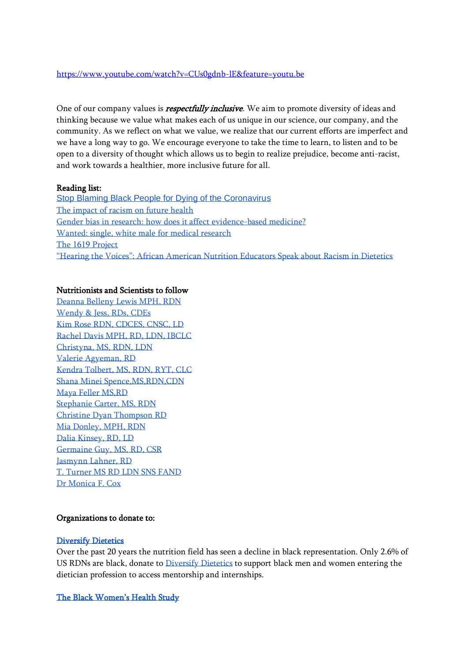### <https://www.youtube.com/watch?v=CUs0gdnb-lE&feature=youtu.be>

One of our company values is *respectfully inclusive*. We aim to promote diversity of ideas and thinking because we value what makes each of us unique in our science, our company, and the community. As we reflect on what we value, we realize that our current efforts are imperfect and we have a long way to go. We encourage everyone to take the time to learn, to listen and to be open to a diversity of thought which allows us to begin to realize prejudice, become anti-racist, and work towards a healthier, more inclusive future for all.

## Reading list:

[Stop Blaming Black People for Dying of the Coronavirus](https://www.theatlantic.com/ideas/archive/2020/04/race-and-blame/609946/) [The impact of racism on future health](https://bmcpublichealth.biomedcentral.com/articles/10.1186/s12889-019-6664-x) [Gender bias in research: how does it affect evidence-based medicine?](https://www.ncbi.nlm.nih.gov/pmc/articles/PMC1761670/) [Wanted: single, white male for medical research](https://www.jstor.org/stable/3562720?seq=1) [The 1619 Project](https://pulitzercenter.org/sites/default/files/full_issue_of_the_1619_project.pdf) ["Hearing the Voices": African American Nutrition Educators Speak about Racism in Dietetics](https://criticaldieteticsblog.files.wordpress.com/2013/04/journal-of-critical-dietetics-p26-35.pdf)

# Nutritionists and Scientists to follow

[Deanna Belleny Lewis MPH, RDN](https://www.instagram.com/deanna.rdn/?hl=en) [Wendy & Jess, RDs, CDEs](https://www.instagram.com/foodheaven/) [Kim Rose RDN, CDCES, CNSC, LD](https://www.instagram.com/kimrosedietitian/) [Rachel Davis MPH, RD, LDN, IBCLC](https://www.instagram.com/harmonynl/) [Christyna, MS, RDN, LDN](https://www.instagram.com/encouragingdietitian/) [Valerie Agyeman, RD](https://www.instagram.com/flourishheights/) [Kendra Tolbert, MS, RDN, RYT, CLC](https://www.instagram.com/kendratolbertrd/) [Shana Minei Spence,MS,RDN,CDN](https://www.instagram.com/thenutritiontea/) [Maya Feller MS,RD](https://www.instagram.com/mayafellerrd/) [Stephanie Carter, MS, RDN](https://www.instagram.com/steph_n_carter/) [Christine Dyan Thompson RD](https://www.moneymindsetdietitian.com/) [Mia Donley, MPH, RDN](https://www.instagram.com/mia.the.rd/) [Dalia Kinsey, RD, LD](https://www.schoolnutritiondietitian.com/) [Germaine Guy, MS, RD, CSR](https://www.youtube.com/user/EatRightGuy) [Jasmynn Lahner, RD](https://www.instagram.com/jasmynn.rd/) [T. Turner MS RD LDN SNS FAND](https://www.instagram.com/tturndietitian/) [Dr Monica F. Cox](https://twitter.com/DrMonicaCox)

## Organizations to donate to:

### [Diversify Dietetics](https://www.diversifydietetics.org/donate)

Over the past 20 years the nutrition field has seen a decline in black representation. Only 2.6% of US RDNs are black, donate t[o Diversify Dietetics](https://www.diversifydietetics.org/donate) to support black men and women entering the dietician profession to access mentorship and internships.

[The Black Women's Health Study](https://trusted.bu.edu/s/1759/2-bu/giving/interior.aspx?sid=1759&gid=2&pgid=422&cid=1060&dids=524&bledit=1&appealcode=WEBMED-DV)